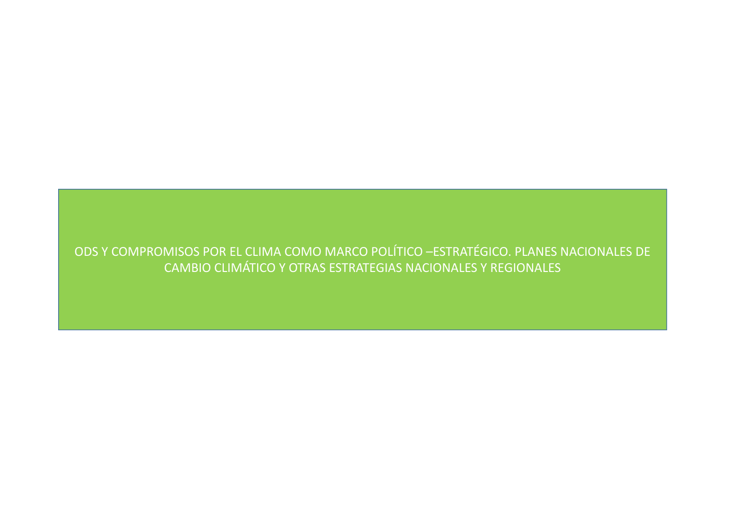ODS Y COMPROMISOS POR EL CLIMA COMO MARCO POLÍTICO –ESTRATÉGICO. PLANES NACIONALES DE CAMBIO CLIMÁTICO Y OTRAS ESTRATEGIAS NACIONALES Y REGIONALES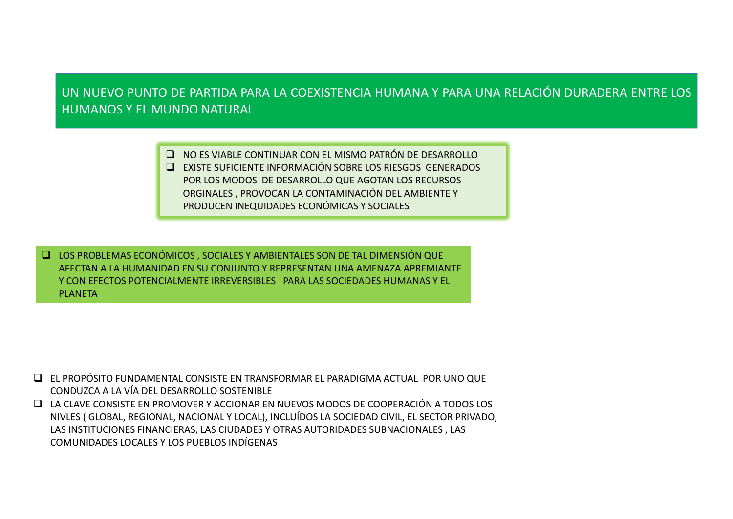UN NUEVO PUNTO DE PARTIDA PARA LA COEXISTENCIA HUMANA Y PARA UNA RELACIÓN DURADERA ENTRE LOSHUMANOS Y EL MUNDO NATURAL

> NO ES VIABLE CONTINUAR CON EL MISMO PATRÓN DE DESARROLLO EXISTE SUFICIENTE INFORMACIÓN SOBRE LOS RIESGOS GENERADOS POR LOS MODOS DE DESARROLLO QUE AGOTAN LOS RECURSOS ORGINALES , PROVOCAN LA CONTAMINACIÓN DEL AMBIENTE Y PRODUCEN INEQUIDADES ECONÓMICAS Y SOCIALES

 LOS PROBLEMAS ECONÓMICOS , SOCIALES Y AMBIENTALES SON DE TAL DIMENSIÓN QUE AFECTAN A LA HUMANIDAD EN SU CONJUNTO Y REPRESENTAN UNA AMENAZA APREMIANTE Y CON EFECTOS POTENCIALMENTE IRREVERSIBLES PARA LAS SOCIEDADES HUMANAS Y EL PLANETA

 EL PROPÓSITO FUNDAMENTAL CONSISTE EN TRANSFORMAR EL PARADIGMA ACTUAL POR UNO QUE CONDUZCAA LA VÍA DEL DESARROLLO SOSTENIBLE

■ LA CLAVE CONSISTE EN PROMOVER Y ACCIONAR EN NUEVOS MODOS DE COOPERACIÓN A TODOS LOS NIVLES ( GLOBAL, REGIONAL, NACIONAL Y LOCAL), INCLUÍDOS LA SOCIEDAD CIVIL, EL SECTOR PRIVADO, LAS INSTITUCIONES FINANCIERAS, LAS CIUDADES Y OTRAS AUTORIDADES SUBNACIONALES , LAS COMUNIDADES LOCALES Y LOS PUEBLOS INDÍGENAS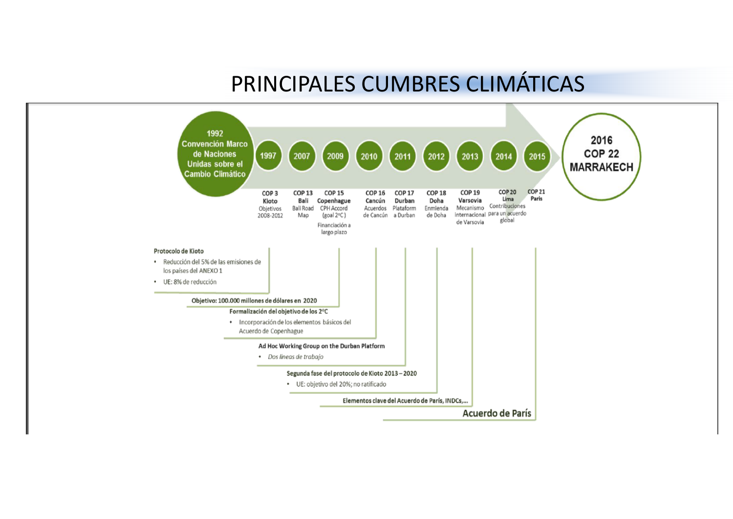# PRINCIPALES CUMBRES CLIMÁTICAS

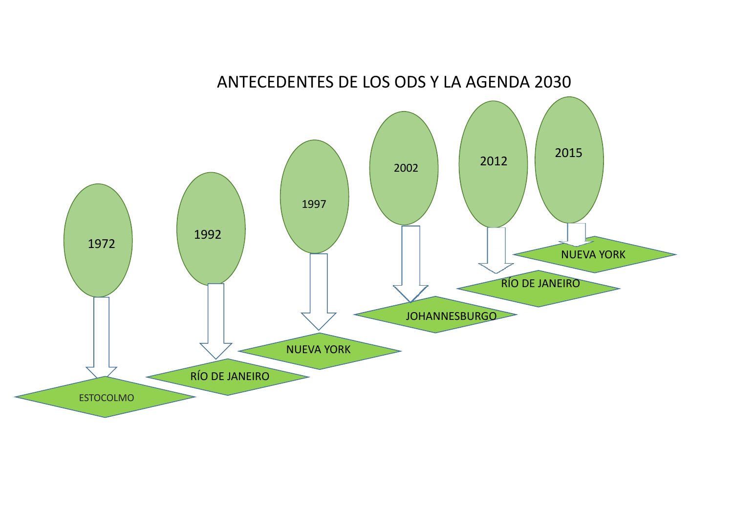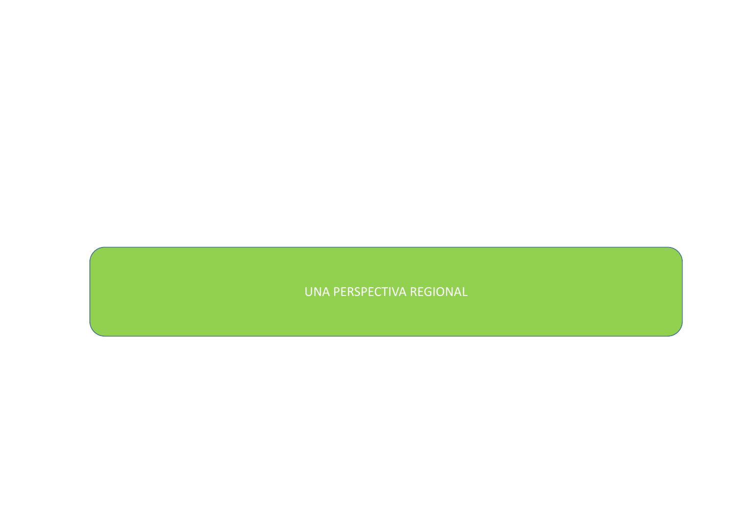### UNA PERSPECTIVA REGIONAL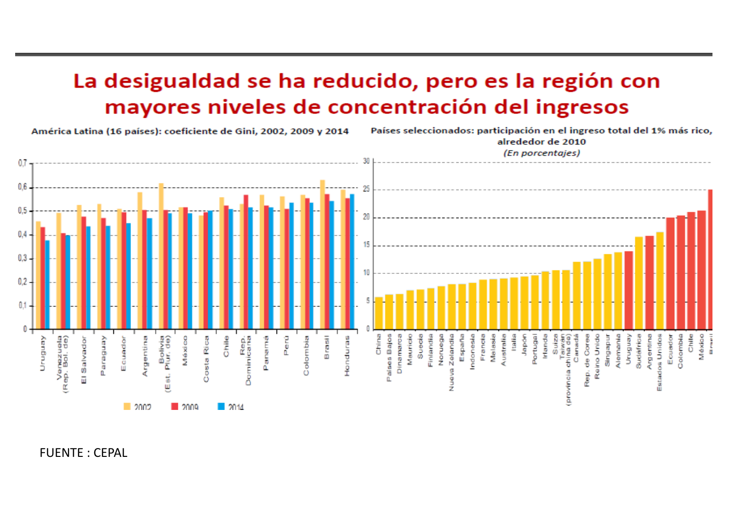# La desigualdad se ha reducido, pero es la región con mayores niveles de concentración del ingresos

América Latina (16 países): coeficiente de Gini, 2002, 2009 y 2014

Países seleccionados: participación en el ingreso total del 1% más rico,



FUENTE : CEPAL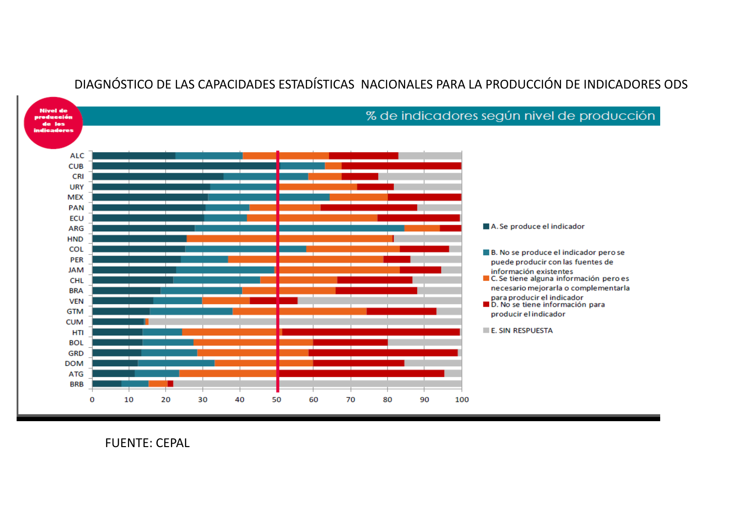

#### DIAGNÓSTICO DE LAS CAPACIDADES ESTADÍSTICAS NACIONALES PARA LA PRODUCCIÓN DE INDICADORES ODS

FUENTE: CEPAL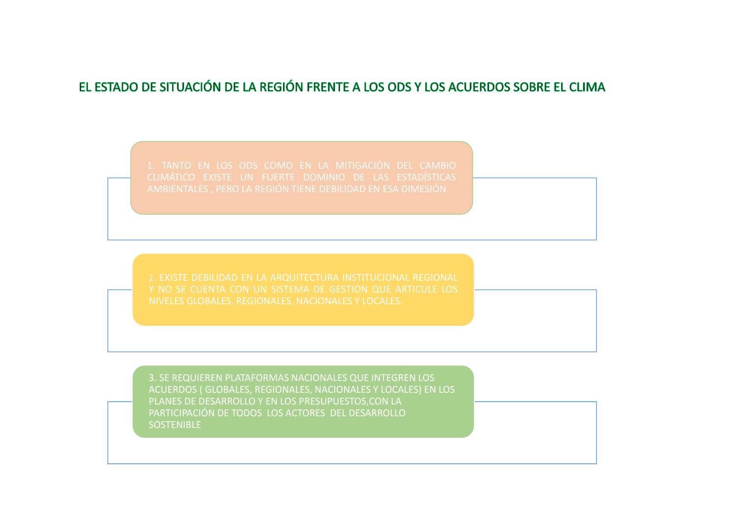## EL ESTADO DE SITUACIÓN DE LA REGIÓN FRENTE A LOS ODS Y LOS ACUERDOS SOBRE EL CLIMA

3. SE REQUIEREN PLATAFORMAS NACIONALES QUE INTEGREN LOS ACUERDOS ( GLOBALES, REGIONALES, NACIONALES Y LOCALES) EN LOS PLANES DE DESARROLLO Y EN LOS PRESUPUESTOS,CON LA PARTICIPACIÓN DE TODOS LOS ACTORES DEL DESARROLLO**SOSTENIBLE**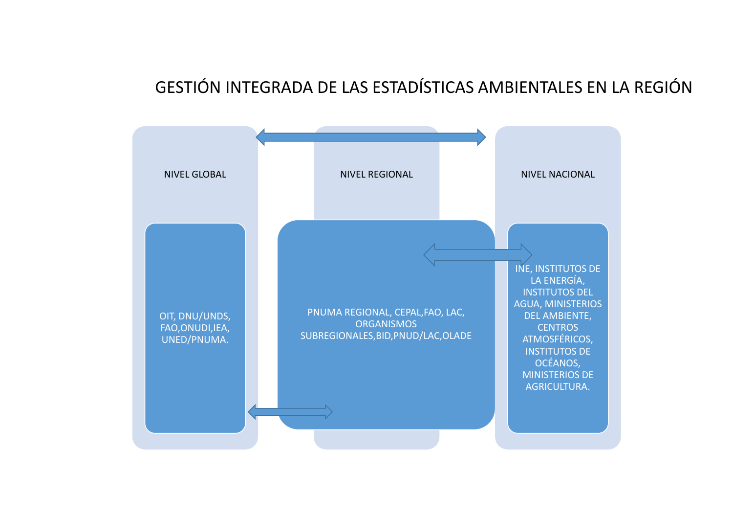## GESTIÓN INTEGRADA DE LAS ESTADÍSTICAS AMBIENTALES EN LA REGIÓN

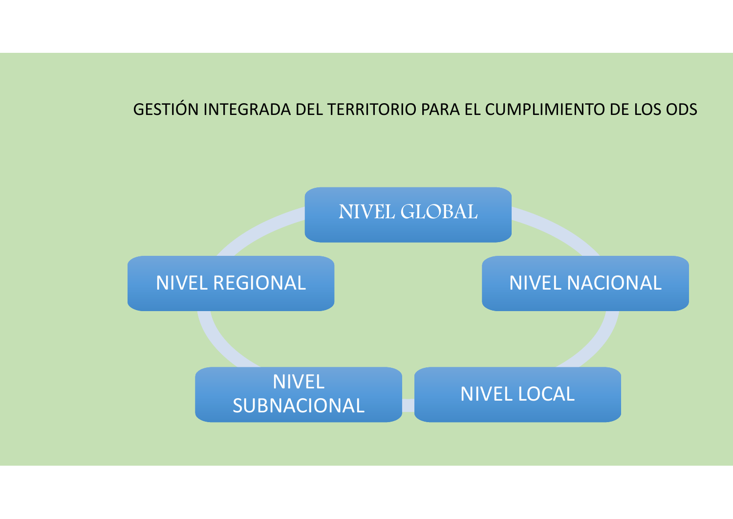# GESTIÓN INTEGRADA DEL TERRITORIO PARA EL CUMPLIMIENTO DE LOS ODS